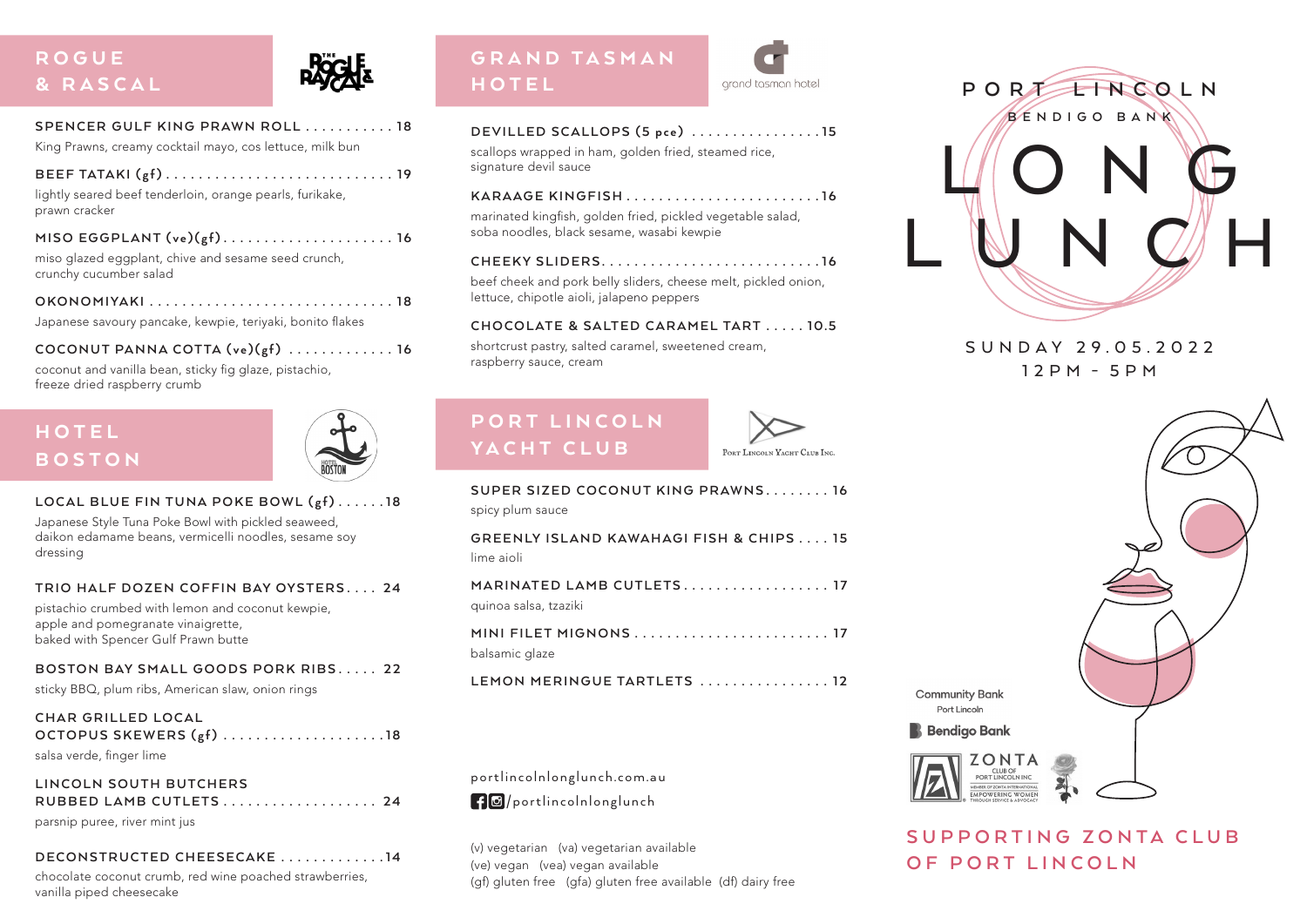# **ROGUE** & RASCAL



| SPENCER GULF KING PRAWN ROLL 18                          |  |
|----------------------------------------------------------|--|
| King Prawns, creamy cocktail mayo, cos lettuce, milk bun |  |

**BEEF TATAKI (g f) . . . . . . . . . . . . . . . . . . . . . . . . . . . . 1 9** lightly seared beef tenderloin, orange pearls, furikake,

prawn cracker

| MISO EGGPLANT $(ve)(gf)$ 16 |  |  |  |  |  |
|-----------------------------|--|--|--|--|--|
|-----------------------------|--|--|--|--|--|

miso glazed eggplant, chive and sesame seed crunch, crunchy cucumber salad

**OKONOMIYAKI . . . . . . . . . . . . . . . . . . . . . . . . . . . . . . 1 8**

Japanese savoury pancake, kewpie, teriyaki, bonito flakes

 $COCONUT$  PANNA  $COTTA$   $(\vee e)(gf)$   $\dots$   $\dots$   $\dots$  . . . . . . 16

coconut and vanilla bean, sticky fig glaze, pistachio, freeze dried raspberry crumb

# HOTEL BOSTON



### LOCAL BLUE FIN TUNA POKE BOWL (gf) . . . . . . 18

Japanese Style Tuna Poke Bowl with pickled seaweed, daikon edamame beans, vermicelli noodles, sesame soy dressing

**TRIO HALF DOZEN COFFIN BAY OYSTERS . . . . 2 4**

pistachio crumbed with lemon and coconut kewpie, apple and pomegranate vinaigrette, baked with Spencer Gulf Prawn butte

### **BOSTON BAY SMALL GOODS PORK RIBS . . . . . 2 2**

sticky BBQ, plum ribs, American slaw, onion rings

| CHAR GRILLED LOCAL                                                                                                                                                                                                                                                                            |  |
|-----------------------------------------------------------------------------------------------------------------------------------------------------------------------------------------------------------------------------------------------------------------------------------------------|--|
| OCTOPUS SKEWERS $(gf)$ 18                                                                                                                                                                                                                                                                     |  |
| $\sim$ 1 $\sim$ 1 $\sim$ 1 $\sim$ 1 $\sim$ 1 $\sim$ 1 $\sim$ 1 $\sim$ 1 $\sim$ 1 $\sim$ 1 $\sim$ 1 $\sim$ 1 $\sim$ 1 $\sim$ 1 $\sim$ 1 $\sim$ 1 $\sim$ 1 $\sim$ 1 $\sim$ 1 $\sim$ 1 $\sim$ 1 $\sim$ 1 $\sim$ 1 $\sim$ 1 $\sim$ 1 $\sim$ 1 $\sim$ 1 $\sim$ 1 $\sim$ 1 $\sim$ 1 $\sim$ 1 $\sim$ |  |

salsa verde, finger lime

| LINCOLN SOUTH BUTCHERS        |  |
|-------------------------------|--|
| RUBBED LAMB CUTLETS 24        |  |
| parsnip puree, river mint jus |  |

### **DECONSTRUCTED CHEESECAKE . . . . . . . . . . . . 1 4**

chocolate coconut crumb, red wine poached strawberries, vanilla piped cheesecake

# GRAND TASMAN HOTEL

| grand tasman hotel |
|--------------------|
|                    |

| DEVILLED SCALLOPS (5 pce) 15                                                                                    |  |  |
|-----------------------------------------------------------------------------------------------------------------|--|--|
| the contract of the contract of the contract of the contract of the contract of the contract of the contract of |  |  |

scallops wrapped in ham, golden fried, steamed rice, signature devil sauce

marinated kingfish, golden fried, pickled vegetable salad, soba noodles, black sesame, wasabi kewpie

**CHEEKY SLIDERS . . . . . . . . . . . . . . . . . . . . . . . . . . 1 6**

beef cheek and pork belly sliders, cheese melt, pickled onion, lettuce, chipotle aioli, jalapeno peppers

### **C H O CO L AT E & SA LT E D C A RA M E L TA RT . . . . . 1 0.5**

shortcrust pastry, salted caramel, sweetened cream, raspberry sauce, cream

# PORT LINCOLN YACHT CLUB



| SUPER SIZED COCONUT KING PRAWNS 16<br>spicy plum sauce |
|--------------------------------------------------------|
| GREENLY ISLAND KAWAHAGI FISH & CHIPS 15<br>lime aioli  |
| MARINATED LAMB CUTLETS 17<br>guinoa salsa, tzaziki     |
| MINI FILET MIGNONS  17<br>balsamic glaze               |
| LEMON MERINGUE TARTLETS  12                            |

portlincolnlonglunch.com.au



(v) vegetarian (va) vegetarian available (ve) vegan (vea) vegan available (gf) gluten free (gfa) gluten free available (df) dairy free



## S U N D A Y 2 9 . 0 5 . 2 0 2 2 12PM - 5PM



**S U P P O R T I N G Z O N T A C L U B OF PORT LINCOLN**